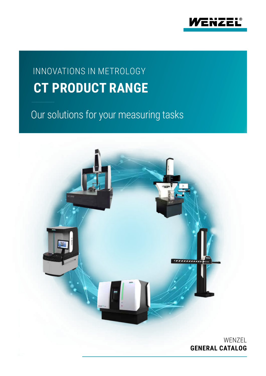

# INNOVATIONS IN METROLOGY  **CT PRODUCT RANGE**

Our solutions for your measuring tasks

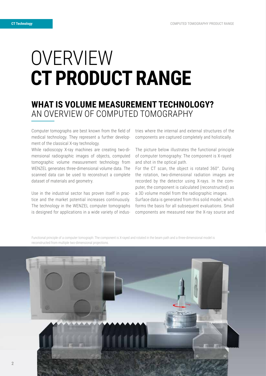# OVERVIEW **CT PRODUCT RANGE**

## **WHAT IS VOLUME MEASUREMENT TECHNOLOGY?**  AN OVERVIEW OF COMPUTED TOMOGRAPHY

Computer tomographs are best known from the field of medical technology. They represent a further development of the classical X-ray technology.

While radioscopy X-ray machines are creating two-dimensional radiographic images of objects, computed tomographic volume measurement technology from WENZEL generates three-dimensional volume data. The scanned data can be used to reconstruct a complete dataset of materials and geometry.

Use in the industrial sector has proven itself in practice and the market potential increases continuously. The technology in the WENZEL computer tomographs is designed for applications in a wide variety of industries where the internal and external structures of the components are captured completely and holistically.

The picture below illustrates the functional principle of computer tomography: The component is X-rayed and shot in the optical path.

For the CT scan, the object is rotated 360°. During the rotation, two-dimensional radiation images are recorded by the detector using X-rays. In the computer, the component is calculated (reconstructed) as a 3D volume model from the radiographic images.

Surface data is generated from this solid model, which forms the basis for all subsequent evaluations. Small components are measured near the X-ray source and

Functional principle of a computer tomograph: The component is X-rayed and rotated in the beam path and a three-dimensional model is reconstructed from multiple two-dimensional projections.

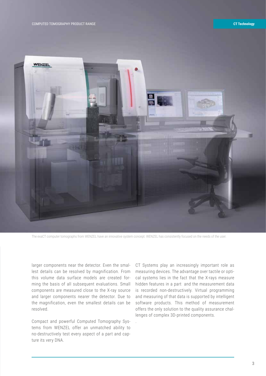

The exaCT computer tomographs from WENZEL have an innovative system concept. WENZEL has consistently focused on the needs of the user.

.

larger components near the detector. Even the smallest details can be resolved by magnification. From this volume data surface models are created forming the basis of all subsequent evaluations. Small components are measured close to the X-ray source and larger components nearer the detector. Due to the magnification, even the smallest details can be resolved.

Compact and powerful Computed Tomography Systems from WENZEL offer an unmatched ability to no-destructively test every aspect of a part and capture its very DNA.

CT Systems play an increasingly important role as measuring devices. The advantage over tactile or optical systems lies in the fact that the X-rays measure hidden features in a part and the measurement data is recorded non-destructively. Virtual programming and measuring of that data is supported by intelligent software products. This method of measurement offers the only solution to the quality assurance challenges of complex 3D-printed components.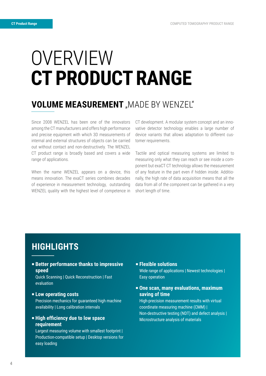# OVERVIEW **CT PRODUCT RANGE**

### **VOLUME MEASUREMENT** "MADE BY WENZEL"

Since 2008 WENZEL has been one of the innovators among the CT manufacturers and offers high performance and precise equipment with which 3D measurements of internal and external structures of objects can be carried out without contact and non-destructively. The WENZEL CT product range is broadly based and covers a wide range of applications.

When the name WENZEL appears on a device, this means innovation. The exaCT series combines decades of experience in measurement technology, outstanding WENZEL quality with the highest level of competence in

CT development. A modular system concept and an innovative detector technology enables a large number of device variants that allows adaptation to different customer requirements.

Tactile and optical measuring systems are limited to measuring only what they can reach or see inside a component but exaCT CT technology allows the measurement of any feature in the part even if hidden inside. Additionally, the high rate of data acquisition means that all the data from all of the component can be gathered in a very short length of time.

### **HIGHLIGHTS**

P **Better performance thanks to impressive speed**

Quick Scanning | Quick Reconstruction | Fast evaluation

P **Low operating costs**

Precision mechanics for guaranteed high machine availability | Long calibration intervals

#### **Example 1 High efficiency due to low space requirement**

Largest measuring volume with smallest footprint I Production-compatible setup | Desktop versions for easy loading

P **Flexible solutions**

Wide range of applications | Newest technologies | Easy operation

P **One scan, many evaluations, maximum saving of time**

High-precision measurement results with virtual coordinate measuring machine (CMM) | Non-destructive testing (NDT) and defect analysis | Microstructure analysis of materials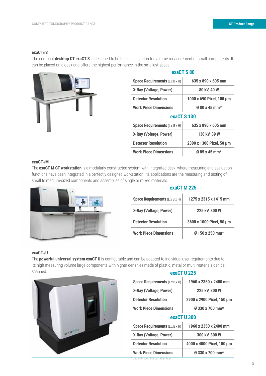#### **exaCT®S**

The compact **desktop CT exaCT S** is designed to be the ideal solution for volume measurement of small components. It can be placed on a desk and offers the highest performance in the smallest space.



#### **exaCT S 80**

| <b>Space Requirements</b> $(L \times B \times H)$ | 635 x 890 x 605 mm        |
|---------------------------------------------------|---------------------------|
| X-Ray (Voltage, Power)                            | 80 kV, 40 W               |
| <b>Detector Resolution</b>                        | 1000 x 690 Pixel, 100 µm  |
| <b>Work Piece Dimensions</b>                      | 0 80 x 45 mm <sup>*</sup> |
| exaCT S 130                                       |                           |
| <b>Space Requirements (LxBxH)</b>                 | 635 x 890 x 605 mm        |
| X-Ray (Voltage, Power)                            | 130 kV, 39 W              |
| <b>Detector Resolution</b>                        | 2300 x 1300 Pixel, 50 um  |
| <b>Work Piece Dimensions</b>                      | 0 85 x 45 mm*             |

#### **exaCT®M**

The **exaCT M CT workstation** is a modularly constructed system with integrated desk, where measuring and evaluation functions have been integrated in a perfectly designed workstation. Its applications are the measuring and testing of small to medium-sized components and assemblies of single or mixed materials.



#### **exaCT M 225**

| <b>Space Requirements</b> $(L \times B \times H)$ | 1275 x 2315 x 1415 mm    |
|---------------------------------------------------|--------------------------|
| X-Ray (Voltage, Power)                            | 225 kV, 800 W            |
| <b>Detector Resolution</b>                        | 3600 x 1000 Pixel, 50 µm |
| <b>Work Piece Dimensions</b>                      | $\alpha$ 150 x 250 mm*   |

#### **exaCT®U**

The **powerful universal system exaCT U** is configurable and can be adapted to individual user requirements due to its high measuring volume large components with higher densities made of plastic, metal or multi-materials can be scanned.



#### **exaCT U 225**

| <b>Space Requirements (L x B x H)</b> | 1960 x 2350 x 2400 mm     |
|---------------------------------------|---------------------------|
| X-Ray (Voltage, Power)                | 225 kV, 300 W             |
| <b>Detector Resolution</b>            | 2900 x 2900 Pixel, 150 µm |
| <b>Work Piece Dimensions</b>          | $\emptyset$ 330 x 700 mm* |
| exaCT U 300                           |                           |
| <b>Space Requirements (L x B x H)</b> | 1960 x 2350 x 2400 mm     |

| Space Requirements (L x B x H) | 1960 x 2350 x 2400 mm     |
|--------------------------------|---------------------------|
| X-Ray (Voltage, Power)         | 300 kV, 300 W             |
| <b>Detector Resolution</b>     | 4000 x 4000 Pixel, 100 um |
| <b>Work Piece Dimensions</b>   | Ø 330 x 700 mm*           |

\* Depending on the part diameter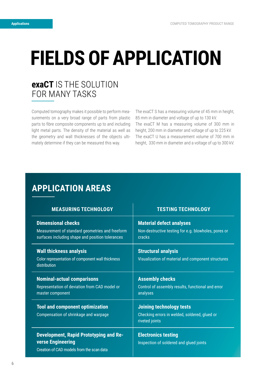# **FIELDS OF APPLICATION**

## **exaCT** IS THE SOLUTION FOR MANY TASKS

Computed tomography makes it possible to perform measurements on a very broad range of parts from plastic parts to fibre composite components up to and including light metal parts. The density of the material as well as the geometry and wall thicknesses of the objects ultimately determine if they can be measured this way.

The exaCT S has a measuring volume of 45 mm in height, 85 mm in diameter and voltage of up to 130 kV. The exaCT M has a measuring volume of 300 mm in height, 200 mm in diameter and voltage of up to 225 kV. The exaCT U has a measurement volume of 700 mm in height, 330 mm in diameter and a voltage of up to 300 kV.

# **APPLICATION AREAS**

| <b>MEASURING TECHNOLOGY</b>                                                                                                      | <b>TESTING TECHNOLOGY</b>                                                                          |
|----------------------------------------------------------------------------------------------------------------------------------|----------------------------------------------------------------------------------------------------|
| <b>Dimensional checks</b><br>Measurement of standard geometries and freeform<br>surfaces including shape and position tolerances | <b>Material defect analyses</b><br>Non-destructive testing for e.g. blowholes, pores or<br>cracks  |
| <b>Wall thickness analysis</b><br>Color representation of component wall thickness<br>distribution                               | <b>Structural analysis</b><br>Visualization of material and component structures                   |
| <b>Nominal-actual comparisons</b><br>Representation of deviation from CAD model or<br>master component                           | <b>Assembly checks</b><br>Control of assembly results, functional and error<br>analyses            |
| <b>Tool and component optimization</b><br>Compensation of shrinkage and warpage                                                  | <b>Joining technology tests</b><br>Checking errors in welded, soldered, glued or<br>riveted joints |
| <b>Development, Rapid Prototyping and Re-</b><br><b>verse Engineering</b><br>Creation of CAD models from the scan data           | <b>Electronics testing</b><br>Inspection of soldered and glued joints                              |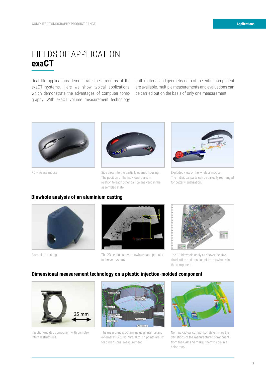# FIELDS OF APPLICATION **exaCT**

Real life applications demonstrate the strengths of the exaCT systems. Here we show typical applications, which demonstrate the advantages of computer tomography. With exaCT volume measurement technology,

both material and geometry data of the entire component are available, multiple measurements and evaluations can be carried out on the basis of only one measurement.





PC wireless mouse Side view into the partially opened housing. The position of the individual parts in relation to each other can be analyzed in the assembled state.



Exploded view of the wireless mouse. The individual parts can be virtually rearranged for better visualization.

#### **Blowhole analysis of an aluminium casting**





Aluminium casting The 3D section shows blowholes and porosity The 3D blowhole analysis shows the size, in the component



distribution and position of the blowholes in the component

#### **Dimensional measurement technology on a plastic injection-molded component**



Injection-molded component with complex internal structures.



The measuring program includes internal and external structures. Virtual touch points are set for dimensional measurement.



Nominal-actual comparison determines the deviations of the manufactured component from the CAD and makes them visible in a color-map.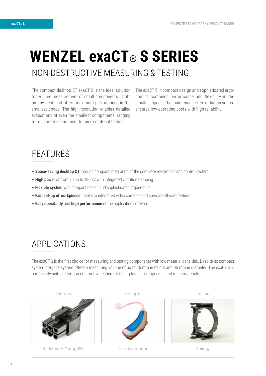# **WENZEL exaCT® S SERIES** NON-DESTRUCTIVE MEASURING & TESTING

The compact desktop CT exaCT S is the ideal solution for volume measurement of small components. It fits on any desk and offers maximum performance in the smallest space. The high resolution enables detailed evaluations of even the smallest components, ranging from micro-measurement to micro-material testing.

The exaCT S in compact design and sophisticated ergonomics combines performance and flexibility in the smallest space. The maintenance-free radiation source ensures low operating costs with high reliability.

# FEATURES

- **Space-saving desktop CT** through compact integration of the complete electronics and control system
- **High power** of from 80 up to 130 kV with integrated vibration damping
- **Flexible system** with compact design and sophisticated ergonomics
- **Fast set-up of workpieces** thanks to integrated video cameras and special software features
- **Easy operability** and **high performance** of the application software

# APPLICATIONS

The exaCT S is the first choice for measuring and testing components with low material densities. Despite its compact system size, the system offers a measuring volume of up to 45 mm in height and 85 mm in diameter. The exaCT S is particularly suitable for non-destructive testing (NDT) of plastics, composites and multi-materials.

Connectors



Non-Destructive Testing (NDT)

Hearing aid





Insert ring



Metrology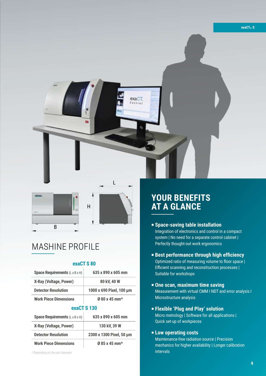



# MASHINE PROFILE

#### **exaCT S 80**

| <b>Space Requirements (L x B x H)</b> | 635 x 890 x 605 mm        |
|---------------------------------------|---------------------------|
| X-Ray (Voltage, Power)                | 80 kV, 40 W               |
| <b>Detector Resolution</b>            | 1000 x 690 Pixel, 100 µm  |
| <b>Work Piece Dimensions</b>          | 0 80 x 45 mm <sup>*</sup> |

#### **exaCT S 130**

| <b>Space Requirements (L x B x H)</b> | 635 x 890 x 605 mm        |
|---------------------------------------|---------------------------|
| X-Ray (Voltage, Power)                | 130 kV, 39 W              |
| <b>Detector Resolution</b>            | 2300 x 1300 Pixel, 50 µm  |
| <b>Work Piece Dimensions</b>          | 0 85 x 45 mm <sup>*</sup> |

\* Depending on the part diameter

# **YOUR BENEFITS AT A GLANCE**

- P **Space-saving table installation** Integration of electronics and control in a compact system | No need for a separate control cabinet | Perfectly thought-out work ergonomics
- **Best performance through high efficiency** Optimized ratio of measuring volume to floor space | Efficient scanning and reconstruction processes | Suitable for workshops
- P **One scan, maximum time saving** Measurement with virtual CMM I NDT and error analysis I Microstructure analysis
- P **Flexible 'Plug and Play' solution** Micro metrology | Software for all applications | Quick set-up of workpieces

#### **Example 2 Low operating costs**

Maintenance-free radiation source | Precision mechanics for higher availability | Longer calibration intervals

**exaCT® S**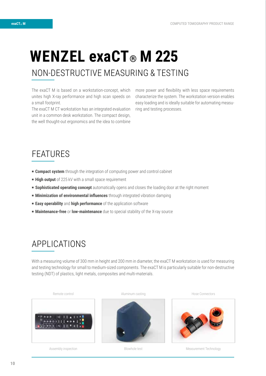# **WENZEL exaCT® M 225** NON-DESTRUCTIVE MEASURING & TESTING

The exaCT M is based on a workstation-concept, which unites high X-ray performance and high scan speeds on a small footprint.

The exaCT M CT workstation has an integrated evaluation unit in a common desk workstation. The compact design, the well thought-out ergonomics and the idea to combine

more power and flexibility with less space requirements characterize the system. The workstation version enables easy loading and is ideally suitable for automating measuring and testing processes.

# FEATURES

- **Compact system** through the integration of computing power and control cabinet
- **High output** of 225 kV with a small space requirement
- **Sophisticated operating concept** automatically opens and closes the loading door at the right moment
- **E** Minimization of environmental influences through integrated vibration damping
- **Easy operability** and **high performance** of the application software
- **Maintenance-free** or **low-maintenance** due to special stability of the X-ray source

# APPLICATIONS

With a measuring volume of 300 mm in height and 200 mm in diameter, the exaCT M workstation is used for measuring and testing technology for small to medium-sized components. The exaCT M is particularly suitable for non-destructive testing (NDT) of plastics, light metals, composites and multi-materials.

Remote control







Assembly inspection

Blowhole test

Measurement Technology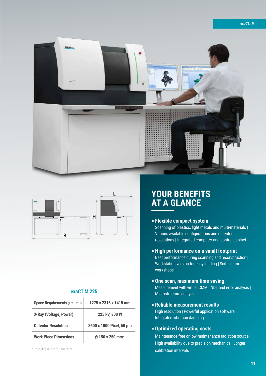**exaCT® M**





#### **exaCT M 225**

| <b>Space Requirements (L x B x H)</b> | 1275 x 2315 x 1415 mm    |
|---------------------------------------|--------------------------|
| X-Ray (Voltage, Power)                | 225 kV, 800 W            |
| <b>Detector Resolution</b>            | 3600 x 1000 Pixel, 50 µm |
| <b>Work Piece Dimensions</b>          | 0 150 x 250 mm*          |

\* Depending on the part diameter

## **YOUR BENEFITS AT A GLANCE**

- P **Flexible compact system** Scanning of plastics, light metals and multi-materials | Various available configurations and detector resolutions | Integrated computer and control cabinet
- P **High performance on a small footprint** Best performance during scanning and reconstruction | Workstation version for easy loading | Suitable for workshops
- $\blacksquare$  **One scan, maximum time saving** Measurement with virtual CMM | NDT and error analysis | Microstructure analysis
- P **Reliable measurement results** High resolution | Powerful application software | Integrated vibration damping
- P **Optimized operating costs**

Maintenance-free or low-maintenance radiation source | High availability due to precision mechanics | Longer calibration intervals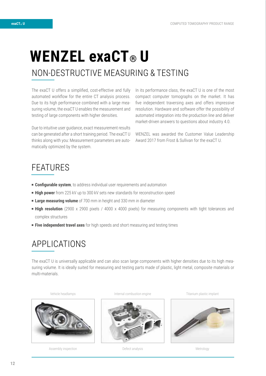# **WENZEL exaCT® U** NON-DESTRUCTIVE MEASURING & TESTING

The exaCT U offers a simplified, cost-effective and fully automated workflow for the entire CT analysis process. Due to its high performance combined with a large measuring volume, the exaCT U enables the measurement and testing of large components with higher densities.

Due to intuitive user guidance, exact measurement results can be generated after a short training period. The exaCT U thinks along with you: Measurement parameters are automatically optimized by the system.

In its performance class, the exaCT U is one of the most compact computer tomographs on the market. It has five independent traversing axes and offers impressive resolution. Hardware and software offer the possibility of automated integration into the production line and deliver market-driven answers to questions about industry 4.0.

WENZEL was awarded the Customer Value Leadership Award 2017 from Frost & Sullivan for the exaCT U.

# FEATURES

- **Configurable system**, to address individual user requirements and automation
- **High power** from 225 kV up to 300 kV sets new standards for reconstruction speed
- **Large measuring volume** of 700 mm in height and 330 mm in diameter
- **High resolution** (2900 x 2900 pixels / 4000 x 4000 pixels) for measuring components with tight tolerances and complex structures
- **Five independent travel axes** for high speeds and short measuring and testing times

# APPLICATIONS

The exaCT U is universally applicable and can also scan large components with higher densities due to its high measuring volume. It is ideally suited for measuring and testing parts made of plastic, light metal, composite materials or multi-materials.

Vehicle headlamps



Assembly inspection

Internal combustion engine



Defect analysis

Titanium plastic implant



Metrology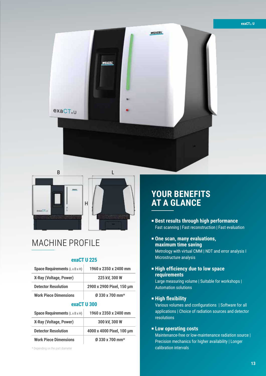



# MACHINE PROFILE

#### **exaCT U 225**

| <b>Space Requirements (L x B x H)</b> | 1960 x 2350 x 2400 mm     |
|---------------------------------------|---------------------------|
| X-Ray (Voltage, Power)                | 225 kV, 300 W             |
| <b>Detector Resolution</b>            | 2900 x 2900 Pixel, 150 µm |
| <b>Work Piece Dimensions</b>          | $\emptyset$ 330 x 700 mm* |
| exaCT U 300                           |                           |
| <b>Space Requirements (L x B x H)</b> | 1960 x 2350 x 2400 mm     |
| X-Ray (Voltage, Power)                | 300 kV, 300 W             |

| X-Ray (Voltage, Power)       | <b>300 KV, 300 W</b>      |
|------------------------------|---------------------------|
| <b>Detector Resolution</b>   | 4000 x 4000 Pixel, 100 µm |
| <b>Work Piece Dimensions</b> | Ø 330 x 700 mm*           |

\* Depending on the part diameter

## **YOUR BENEFITS AT A GLANCE**

- P **Best results through high performance** Fast scanning | Fast reconstruction | Fast evaluation
- P **One scan, many evaluations, maximum time saving** Metrology with virtual CMM | NDT and error analysis I Microstructure analysis

#### **Example 1 High efficiency due to low space requirements**

Large measuring volume | Suitable for workshops | Automation solutions

#### **Example High flexibility**

Various volumes and configurations | Software for all applications | Choice of radiation sources and detector resolutions

#### **Example 2 Low operating costs**

Maintenance-free or low-maintenance radiation source | Precision mechanics for higher availability | Longer calibration intervals

**exaCT® U**